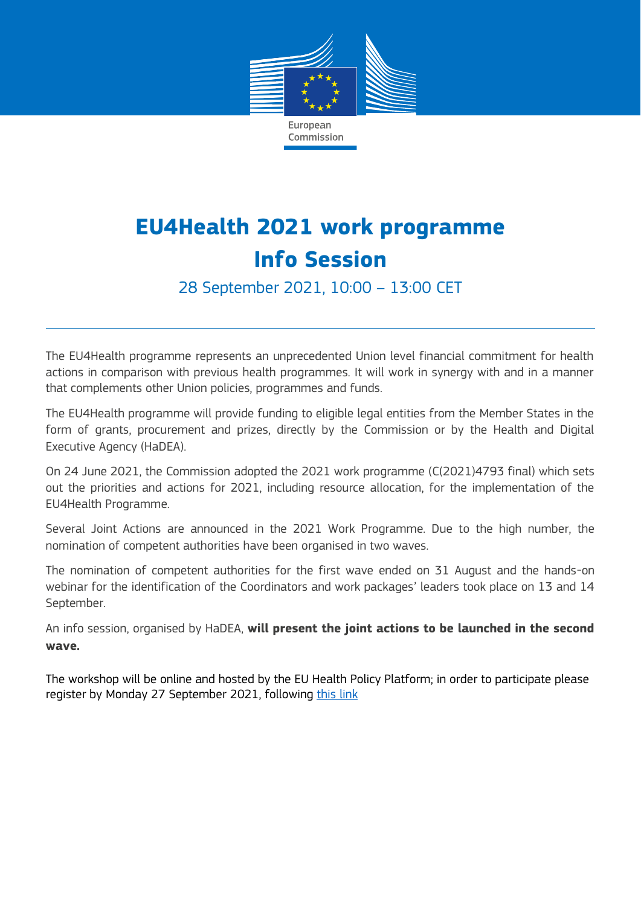

## **EU4Health 2021 work programme Info Session**

28 September 2021, 10:00 – 13:00 CET

The EU4Health programme represents an unprecedented Union level financial commitment for health actions in comparison with previous health programmes. It will work in synergy with and in a manner that complements other Union policies, programmes and funds.

The EU4Health programme will provide funding to eligible legal entities from the Member States in the form of grants, procurement and prizes, directly by the Commission or by the Health and Digital Executive Agency (HaDEA).

On 24 June 2021, the Commission adopted the 2021 work programme (C(2021)4793 final) which sets out the priorities and actions for 2021, including resource allocation, for the implementation of the EU4Health Programme.

Several Joint Actions are announced in the 2021 Work Programme. Due to the high number, the nomination of competent authorities have been organised in two waves.

The nomination of competent authorities for the first wave ended on 31 August and the hands-on webinar for the identification of the Coordinators and work packages' leaders took place on 13 and 14 September.

An info session, organised by HaDEA, **will present the joint actions to be launched in the second wave.**

The workshop will be online and hosted by the EU Health Policy Platform; in order to participate please register by Monday 27 September 2021, following [this link](https://ecconf.webex.com/ecconf/onstage/g.php?MTID=ed2042f588beae336d4efdc202506b382)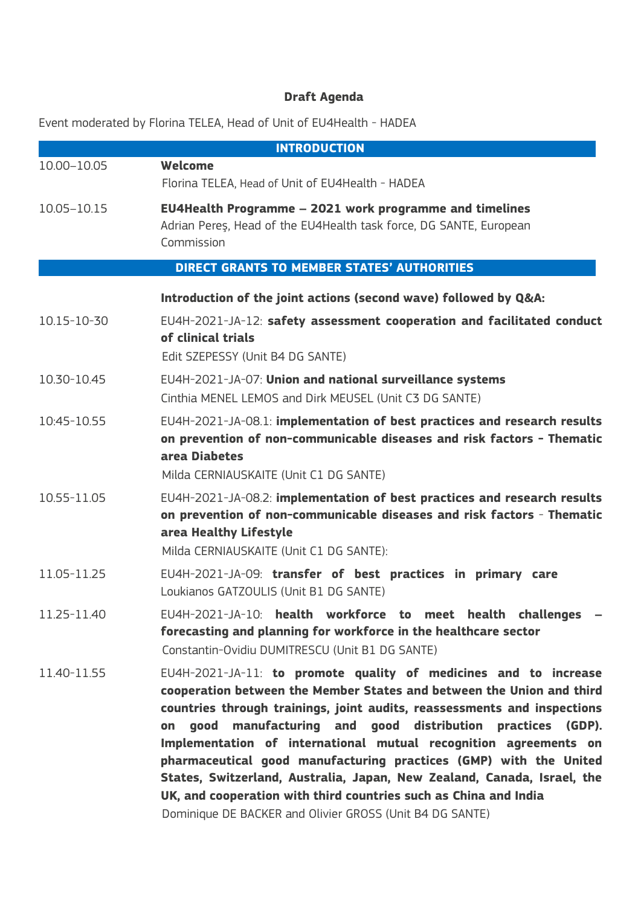## **Draft Agenda**

Event moderated by Florina TELEA, Head of Unit of EU4Health - HADEA

|             | <b>INTRODUCTION</b>                                                                                                                                                                                                                                                                                                                                                                                                                                                                                                                                                                                                                             |
|-------------|-------------------------------------------------------------------------------------------------------------------------------------------------------------------------------------------------------------------------------------------------------------------------------------------------------------------------------------------------------------------------------------------------------------------------------------------------------------------------------------------------------------------------------------------------------------------------------------------------------------------------------------------------|
| 10.00-10.05 | Welcome<br>Florina TELEA, Head of Unit of EU4Health - HADEA                                                                                                                                                                                                                                                                                                                                                                                                                                                                                                                                                                                     |
| 10.05-10.15 | <b>EU4Health Programme - 2021 work programme and timelines</b><br>Adrian Peres, Head of the EU4Health task force, DG SANTE, European<br>Commission                                                                                                                                                                                                                                                                                                                                                                                                                                                                                              |
|             | <b>DIRECT GRANTS TO MEMBER STATES' AUTHORITIES</b>                                                                                                                                                                                                                                                                                                                                                                                                                                                                                                                                                                                              |
|             | Introduction of the joint actions (second wave) followed by Q&A:                                                                                                                                                                                                                                                                                                                                                                                                                                                                                                                                                                                |
| 10.15-10-30 | EU4H-2021-JA-12: safety assessment cooperation and facilitated conduct<br>of clinical trials<br>Edit SZEPESSY (Unit B4 DG SANTE)                                                                                                                                                                                                                                                                                                                                                                                                                                                                                                                |
| 10.30-10.45 | EU4H-2021-JA-07: Union and national surveillance systems<br>Cinthia MENEL LEMOS and Dirk MEUSEL (Unit C3 DG SANTE)                                                                                                                                                                                                                                                                                                                                                                                                                                                                                                                              |
| 10:45-10.55 | EU4H-2021-JA-08.1: implementation of best practices and research results<br>on prevention of non-communicable diseases and risk factors - Thematic<br>area Diabetes<br>Milda CERNIAUSKAITE (Unit C1 DG SANTE)                                                                                                                                                                                                                                                                                                                                                                                                                                   |
| 10.55-11.05 | EU4H-2021-JA-08.2: implementation of best practices and research results<br>on prevention of non-communicable diseases and risk factors - Thematic<br>area Healthy Lifestyle<br>Milda CERNIAUSKAITE (Unit C1 DG SANTE):                                                                                                                                                                                                                                                                                                                                                                                                                         |
| 11.05-11.25 | EU4H-2021-JA-09: transfer of best practices in primary care<br>Loukianos GATZOULIS (Unit B1 DG SANTE)                                                                                                                                                                                                                                                                                                                                                                                                                                                                                                                                           |
| 11 25-11 40 | EU4H-2021-JA-10: health workforce to meet health challenges<br>forecasting and planning for workforce in the healthcare sector<br>Constantin-Ovidiu DUMITRESCU (Unit B1 DG SANTE)                                                                                                                                                                                                                                                                                                                                                                                                                                                               |
| 11.40-11.55 | EU4H-2021-JA-11: to promote quality of medicines and to increase<br>cooperation between the Member States and between the Union and third<br>countries through trainings, joint audits, reassessments and inspections<br>manufacturing and good distribution practices (GDP).<br>qood<br>on<br>Implementation of international mutual recognition agreements on<br>pharmaceutical good manufacturing practices (GMP) with the United<br>States, Switzerland, Australia, Japan, New Zealand, Canada, Israel, the<br>UK, and cooperation with third countries such as China and India<br>Dominique DE BACKER and Olivier GROSS (Unit B4 DG SANTE) |